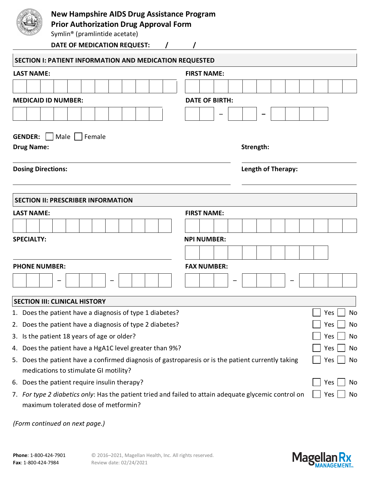

## **New Hampshire AIDS Drug Assistance Program**

**Prior Authorization Drug Approval Form**

Symlin® (pramlintide acetate)

| DATE OF MEDICATION REQUEST:                                                                                                                   |                       |                    |           |  |  |  |                      |  |  |  |  |  |
|-----------------------------------------------------------------------------------------------------------------------------------------------|-----------------------|--------------------|-----------|--|--|--|----------------------|--|--|--|--|--|
| SECTION I: PATIENT INFORMATION AND MEDICATION REQUESTED                                                                                       |                       |                    |           |  |  |  |                      |  |  |  |  |  |
| <b>LAST NAME:</b>                                                                                                                             | <b>FIRST NAME:</b>    |                    |           |  |  |  |                      |  |  |  |  |  |
|                                                                                                                                               |                       |                    |           |  |  |  |                      |  |  |  |  |  |
| <b>MEDICAID ID NUMBER:</b>                                                                                                                    | <b>DATE OF BIRTH:</b> |                    |           |  |  |  |                      |  |  |  |  |  |
|                                                                                                                                               |                       |                    |           |  |  |  |                      |  |  |  |  |  |
|                                                                                                                                               |                       |                    |           |  |  |  |                      |  |  |  |  |  |
| <b>GENDER:</b><br>Male   Female                                                                                                               |                       |                    |           |  |  |  |                      |  |  |  |  |  |
| <b>Drug Name:</b>                                                                                                                             |                       |                    | Strength: |  |  |  |                      |  |  |  |  |  |
| <b>Dosing Directions:</b>                                                                                                                     |                       | Length of Therapy: |           |  |  |  |                      |  |  |  |  |  |
| <b>SECTION II: PRESCRIBER INFORMATION</b>                                                                                                     |                       |                    |           |  |  |  |                      |  |  |  |  |  |
| <b>LAST NAME:</b>                                                                                                                             | <b>FIRST NAME:</b>    |                    |           |  |  |  |                      |  |  |  |  |  |
|                                                                                                                                               |                       |                    |           |  |  |  |                      |  |  |  |  |  |
| <b>SPECIALTY:</b>                                                                                                                             | <b>NPI NUMBER:</b>    |                    |           |  |  |  |                      |  |  |  |  |  |
|                                                                                                                                               |                       |                    |           |  |  |  |                      |  |  |  |  |  |
| <b>PHONE NUMBER:</b>                                                                                                                          | <b>FAX NUMBER:</b>    |                    |           |  |  |  |                      |  |  |  |  |  |
|                                                                                                                                               |                       |                    |           |  |  |  |                      |  |  |  |  |  |
|                                                                                                                                               |                       |                    |           |  |  |  |                      |  |  |  |  |  |
| <b>SECTION III: CLINICAL HISTORY</b>                                                                                                          |                       |                    |           |  |  |  |                      |  |  |  |  |  |
| 1. Does the patient have a diagnosis of type 1 diabetes?                                                                                      |                       |                    |           |  |  |  | $\Box$ Yes $\Box$ No |  |  |  |  |  |
| 2. Does the patient have a diagnosis of type 2 diabetes?                                                                                      |                       |                    |           |  |  |  | Yes<br>No            |  |  |  |  |  |
| 3. Is the patient 18 years of age or older?                                                                                                   |                       |                    |           |  |  |  | Yes<br>No            |  |  |  |  |  |
| 4. Does the patient have a HgA1C level greater than 9%?                                                                                       |                       | Yes<br>No          |           |  |  |  |                      |  |  |  |  |  |
| 5. Does the patient have a confirmed diagnosis of gastroparesis or is the patient currently taking                                            |                       | Yes<br>No          |           |  |  |  |                      |  |  |  |  |  |
| medications to stimulate GI motility?                                                                                                         |                       |                    |           |  |  |  |                      |  |  |  |  |  |
| 6. Does the patient require insulin therapy?                                                                                                  |                       |                    |           |  |  |  | Yes<br>No            |  |  |  |  |  |
| 7. For type 2 diabetics only: Has the patient tried and failed to attain adequate glycemic control on<br>maximum tolerated dose of metformin? |                       |                    |           |  |  |  | Yes<br>No            |  |  |  |  |  |

*(Form continued on next page.)*